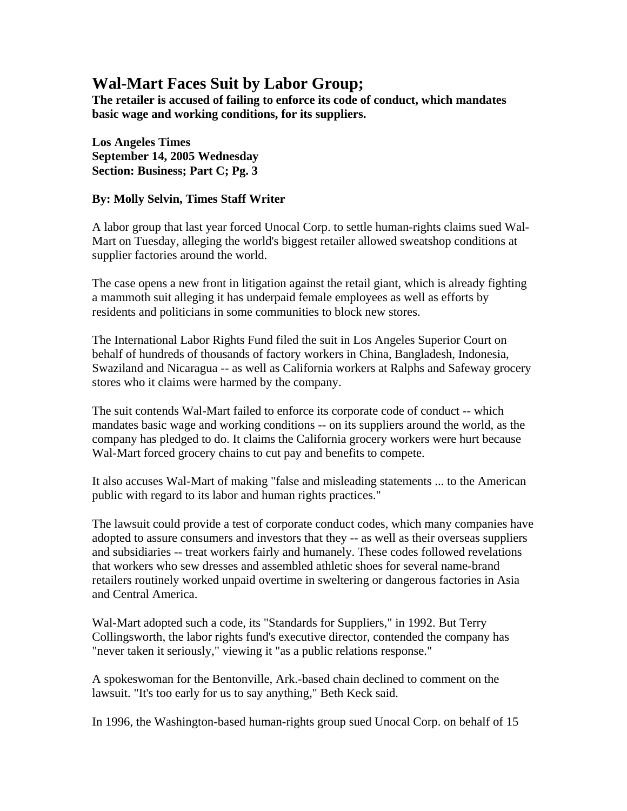## **Wal-Mart Faces Suit by Labor Group;**

**The retailer is accused of failing to enforce its code of conduct, which mandates basic wage and working conditions, for its suppliers.** 

**Los Angeles Times September 14, 2005 Wednesday Section: Business; Part C; Pg. 3** 

## **By: Molly Selvin, Times Staff Writer**

A labor group that last year forced Unocal Corp. to settle human-rights claims sued Wal-Mart on Tuesday, alleging the world's biggest retailer allowed sweatshop conditions at supplier factories around the world.

The case opens a new front in litigation against the retail giant, which is already fighting a mammoth suit alleging it has underpaid female employees as well as efforts by residents and politicians in some communities to block new stores.

The International Labor Rights Fund filed the suit in Los Angeles Superior Court on behalf of hundreds of thousands of factory workers in China, Bangladesh, Indonesia, Swaziland and Nicaragua -- as well as California workers at Ralphs and Safeway grocery stores who it claims were harmed by the company.

The suit contends Wal-Mart failed to enforce its corporate code of conduct -- which mandates basic wage and working conditions -- on its suppliers around the world, as the company has pledged to do. It claims the California grocery workers were hurt because Wal-Mart forced grocery chains to cut pay and benefits to compete.

It also accuses Wal-Mart of making "false and misleading statements ... to the American public with regard to its labor and human rights practices."

The lawsuit could provide a test of corporate conduct codes, which many companies have adopted to assure consumers and investors that they -- as well as their overseas suppliers and subsidiaries -- treat workers fairly and humanely. These codes followed revelations that workers who sew dresses and assembled athletic shoes for several name-brand retailers routinely worked unpaid overtime in sweltering or dangerous factories in Asia and Central America.

Wal-Mart adopted such a code, its "Standards for Suppliers," in 1992. But Terry Collingsworth, the labor rights fund's executive director, contended the company has "never taken it seriously," viewing it "as a public relations response."

A spokeswoman for the Bentonville, Ark.-based chain declined to comment on the lawsuit. "It's too early for us to say anything," Beth Keck said.

In 1996, the Washington-based human-rights group sued Unocal Corp. on behalf of 15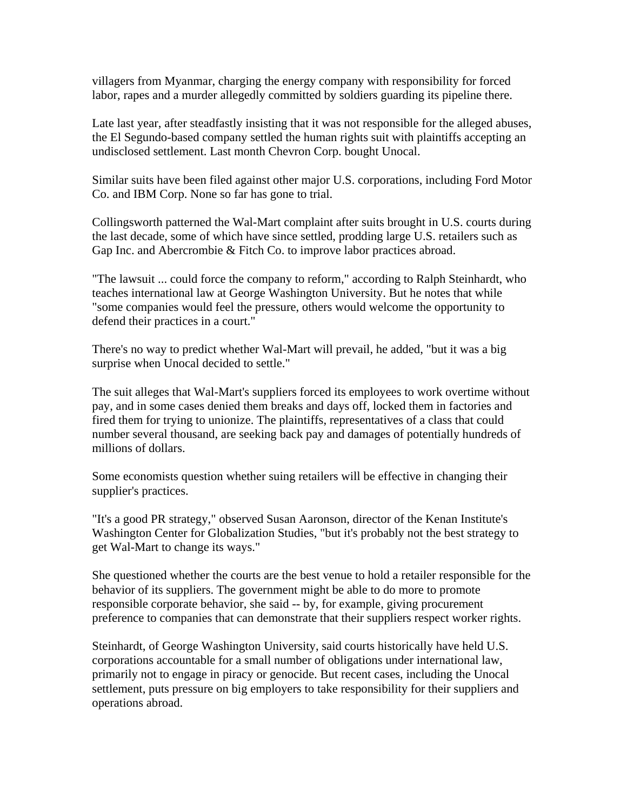villagers from Myanmar, charging the energy company with responsibility for forced labor, rapes and a murder allegedly committed by soldiers guarding its pipeline there.

Late last year, after steadfastly insisting that it was not responsible for the alleged abuses, the El Segundo-based company settled the human rights suit with plaintiffs accepting an undisclosed settlement. Last month Chevron Corp. bought Unocal.

Similar suits have been filed against other major U.S. corporations, including Ford Motor Co. and IBM Corp. None so far has gone to trial.

Collingsworth patterned the Wal-Mart complaint after suits brought in U.S. courts during the last decade, some of which have since settled, prodding large U.S. retailers such as Gap Inc. and Abercrombie & Fitch Co. to improve labor practices abroad.

"The lawsuit ... could force the company to reform," according to Ralph Steinhardt, who teaches international law at George Washington University. But he notes that while "some companies would feel the pressure, others would welcome the opportunity to defend their practices in a court."

There's no way to predict whether Wal-Mart will prevail, he added, "but it was a big surprise when Unocal decided to settle."

The suit alleges that Wal-Mart's suppliers forced its employees to work overtime without pay, and in some cases denied them breaks and days off, locked them in factories and fired them for trying to unionize. The plaintiffs, representatives of a class that could number several thousand, are seeking back pay and damages of potentially hundreds of millions of dollars.

Some economists question whether suing retailers will be effective in changing their supplier's practices.

"It's a good PR strategy," observed Susan Aaronson, director of the Kenan Institute's Washington Center for Globalization Studies, "but it's probably not the best strategy to get Wal-Mart to change its ways."

She questioned whether the courts are the best venue to hold a retailer responsible for the behavior of its suppliers. The government might be able to do more to promote responsible corporate behavior, she said -- by, for example, giving procurement preference to companies that can demonstrate that their suppliers respect worker rights.

Steinhardt, of George Washington University, said courts historically have held U.S. corporations accountable for a small number of obligations under international law, primarily not to engage in piracy or genocide. But recent cases, including the Unocal settlement, puts pressure on big employers to take responsibility for their suppliers and operations abroad.